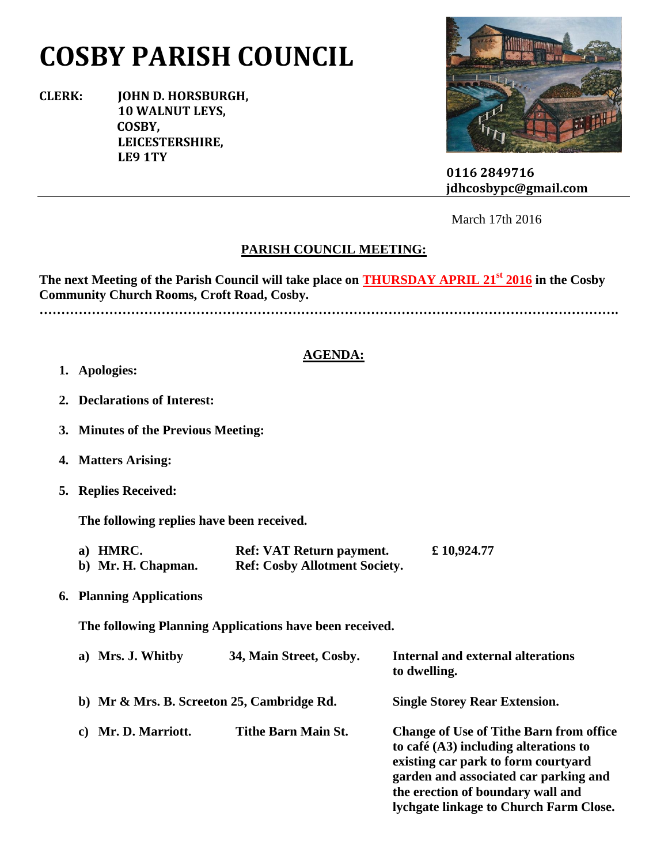# **COSBY PARISH COUNCIL**

**CLERK: JOHN D. HORSBURGH, 10 WALNUT LEYS, COSBY, LEICESTERSHIRE, LE9 1TY**



 **0116 2849716 jdhcosbypc@gmail.com**

March 17th 2016

## **PARISH COUNCIL MEETING:**

**The next Meeting of the Parish Council will take place on THURSDAY APRIL 21st 2016 in the Cosby Community Church Rooms, Croft Road, Cosby.**

**…………………………………………………………………………………………………………………….**

### **AGENDA:**

- **1. Apologies:**
- **2. Declarations of Interest:**
- **3. Minutes of the Previous Meeting:**
- **4. Matters Arising:**
- **5. Replies Received:**

**The following replies have been received.**

| a) HMRC.           | <b>Ref: VAT Return payment.</b>      | £ 10,924.77 |
|--------------------|--------------------------------------|-------------|
| b) Mr. H. Chapman. | <b>Ref: Cosby Allotment Society.</b> |             |

**6. Planning Applications**

**The following Planning Applications have been received.**

| a) Mrs. J. Whitby                          | 34, Main Street, Cosby.    | <b>Internal and external alterations</b><br>to dwelling.                                                                                                                                                                                                 |
|--------------------------------------------|----------------------------|----------------------------------------------------------------------------------------------------------------------------------------------------------------------------------------------------------------------------------------------------------|
| b) Mr & Mrs. B. Screeton 25, Cambridge Rd. |                            | <b>Single Storey Rear Extension.</b>                                                                                                                                                                                                                     |
| c) Mr. D. Marriott.                        | <b>Tithe Barn Main St.</b> | <b>Change of Use of Tithe Barn from office</b><br>to café $(A3)$ including alterations to<br>existing car park to form courtyard<br>garden and associated car parking and<br>the erection of boundary wall and<br>lychgate linkage to Church Farm Close. |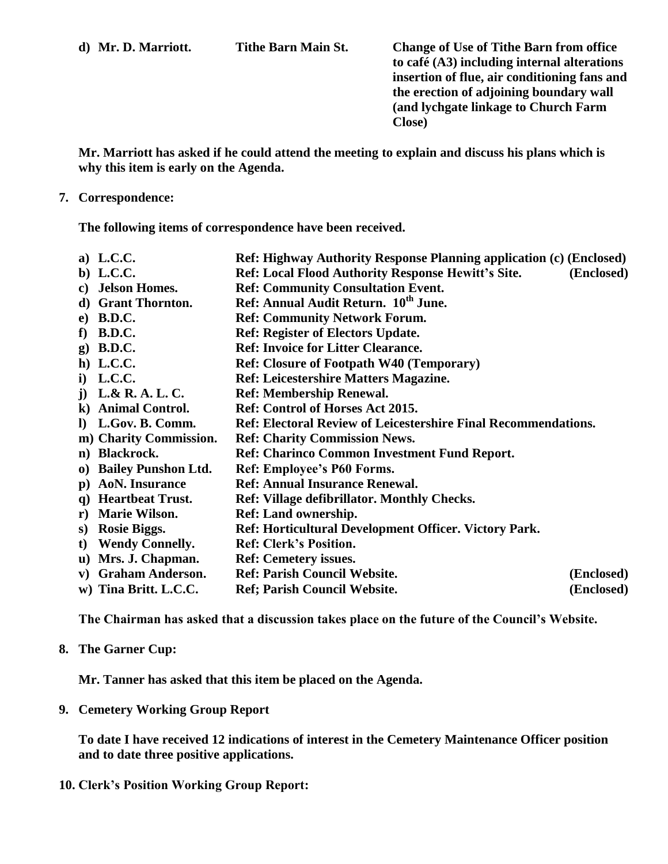**d) Mr. D. Marriott. Tithe Barn Main St. Change of Use of Tithe Barn from office to café (A3) including internal alterations insertion of flue, air conditioning fans and the erection of adjoining boundary wall (and lychgate linkage to Church Farm Close)**

**Mr. Marriott has asked if he could attend the meeting to explain and discuss his plans which is why this item is early on the Agenda.**

#### **7. Correspondence:**

**The following items of correspondence have been received.**

- **a) L.C.C. Ref: Highway Authority Response Planning application (c) (Enclosed)**
- **b) L.C.C. Ref: Local Flood Authority Response Hewitt's Site. (Enclosed)**
- **c) Jelson Homes. Ref: Community Consultation Event.**
- **d) Grant Thornton. Ref: Annual Audit Return. 10th June.**
- **e) B.D.C. Ref: Community Network Forum.**
- **f) B.D.C. Ref: Register of Electors Update.**
- **g) B.D.C. Ref: Invoice for Litter Clearance.**
- **h) L.C.C. Ref: Closure of Footpath W40 (Temporary)**
- **i) L.C.C. Ref: Leicestershire Matters Magazine.**
- **j) L.& R. A. L. C. Ref: Membership Renewal.**
- **k) Animal Control. Ref: Control of Horses Act 2015.**
- **l) L.Gov. B. Comm. Ref: Electoral Review of Leicestershire Final Recommendations.**
- **m) Charity Commission. Ref: Charity Commission News.**
- **n) Blackrock. Ref: Charinco Common Investment Fund Report.**
- **o) Bailey Punshon Ltd. Ref: Employee's P60 Forms.**
- **p) AoN. Insurance Ref: Annual Insurance Renewal.**
- **q) Heartbeat Trust. Ref: Village defibrillator. Monthly Checks.**
- **r) Marie Wilson. Ref: Land ownership.**
- **s) Rosie Biggs. Ref: Horticultural Development Officer. Victory Park.**
- **t) Wendy Connelly. Ref: Clerk's Position.**
- **u) Mrs. J. Chapman. Ref: Cemetery issues.**
- **v) Graham Anderson. Ref: Parish Council Website. (Enclosed)**
- **w) Tina Britt. L.C.C. Ref; Parish Council Website. (Enclosed)**

**The Chairman has asked that a discussion takes place on the future of the Council's Website.**

### **8. The Garner Cup:**

**Mr. Tanner has asked that this item be placed on the Agenda.**

**9. Cemetery Working Group Report**

**To date I have received 12 indications of interest in the Cemetery Maintenance Officer position and to date three positive applications.**

**10. Clerk's Position Working Group Report:**